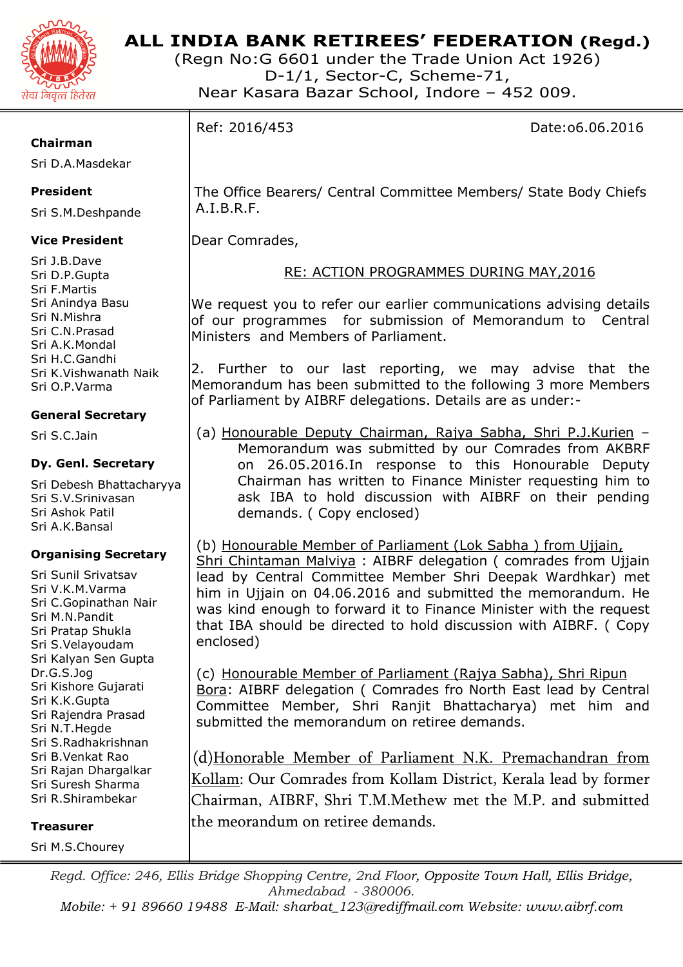

(Regn No:G 6601 under the Trade Union Act 1926) D-1/1, Sector-C, Scheme-71, Near Kasara Bazar School, Indore – 452 009.

Ref: 2016/453 Date:o6.06.2016

#### **Chairman**

Sri D.A.Masdekar

### **President**

Sri S.M.Deshpande

### **Vice President**

Sri J.B.Dave Sri D.P.Gupta Sri F.Martis Sri Anindya Basu Sri N.Mishra Sri C.N.Prasad Sri A.K.Mondal Sri H.C.Gandhi Sri K.Vishwanath Naik Sri O.P.Varma

## **General Secretary**

Sri S.C.Jain

### **Dy. Genl. Secretary**

Sri Debesh Bhattacharyya Sri S.V.Srinivasan Sri Ashok Patil Sri A.K.Bansal

### **Organising Secretary**

Sri Sunil Srivatsav Sri V.K.M.Varma Sri C.Gopinathan Nair Sri M.N.Pandit Sri Pratap Shukla Sri S.Velayoudam Sri Kalyan Sen Gupta Dr.G.S.Jog Sri Kishore Gujarati Sri K.K.Gupta Sri Rajendra Prasad Sri N.T.Hegde Sri S.Radhakrishnan Sri B.Venkat Rao Sri Rajan Dhargalkar Sri Suresh Sharma Sri R.Shirambekar

**Treasurer** 

Sri M.S.Chourey

 The Office Bearers/ Central Committee Members/ State Body Chiefs A.I.B.R.F.

Dear Comrades,

# RE: ACTION PROGRAMMES DURING MAY,2016

We request you to refer our earlier communications advising details of our programmes for submission of Memorandum to Central Ministers and Members of Parliament.

2. Further to our last reporting, we may advise that the Memorandum has been submitted to the following 3 more Members of Parliament by AIBRF delegations. Details are as under:-

(a) Honourable Deputy Chairman, Rajya Sabha, Shri P.J.Kurien – Memorandum was submitted by our Comrades from AKBRF on 26.05.2016.In response to this Honourable Deputy Chairman has written to Finance Minister requesting him to ask IBA to hold discussion with AIBRF on their pending demands. ( Copy enclosed)

(b) Honourable Member of Parliament (Lok Sabha ) from Ujjain, Shri Chintaman Malviya : AIBRF delegation ( comrades from Ujjain lead by Central Committee Member Shri Deepak Wardhkar) met him in Ujjain on 04.06.2016 and submitted the memorandum. He was kind enough to forward it to Finance Minister with the request that IBA should be directed to hold discussion with AIBRF. ( Copy enclosed)

(c) Honourable Member of Parliament (Rajya Sabha), Shri Ripun Bora: AIBRF delegation ( Comrades fro North East lead by Central Committee Member, Shri Ranjit Bhattacharya) met him and submitted the memorandum on retiree demands.

(d)Honorable Member of Parliament N.K. Premachandran from Kollam: Our Comrades from Kollam District, Kerala lead by former Chairman, AIBRF, Shri T.M.Methew met the M.P. and submitted the meorandum on retiree demands.

*Regd. Office: 246, Ellis Bridge Shopping Centre, 2nd Floor, Opposite Town Hall, Ellis Bridge, Ahmedabad - 380006.*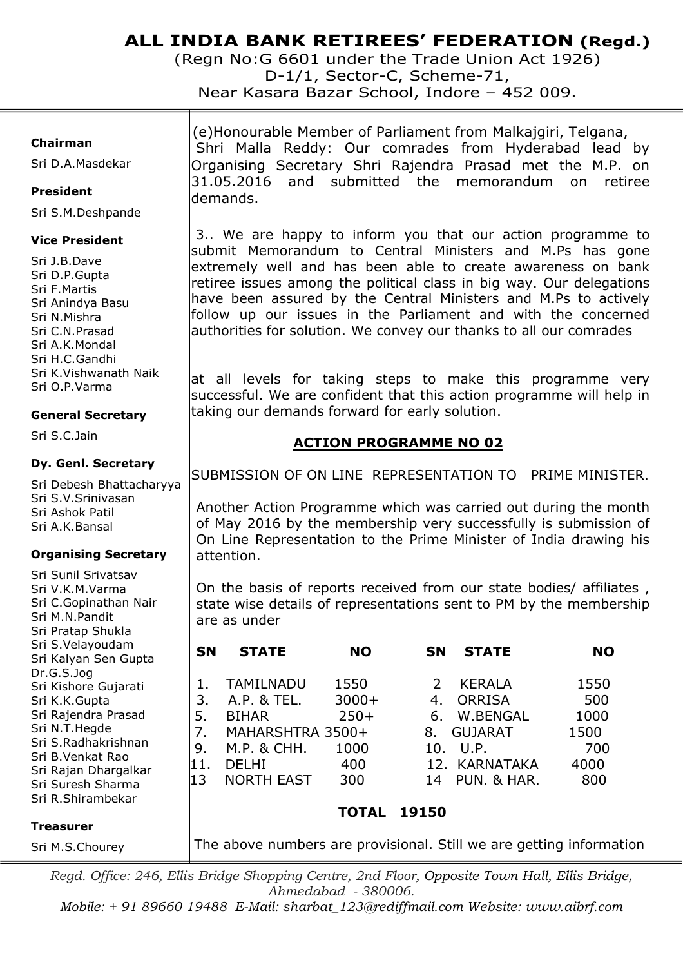(Regn No:G 6601 under the Trade Union Act 1926) D-1/1, Sector-C, Scheme-71, Near Kasara Bazar School, Indore – 452 009.

#### **Chairman**

Sri D.A.Masdekar

#### **President**

Sri S.M.Deshpande

#### **Vice President**

Sri J.B.Dave Sri D.P.Gupta Sri F.Martis Sri Anindya Basu Sri N.Mishra Sri C.N.Prasad Sri A.K.Mondal Sri H.C.Gandhi Sri K.Vishwanath Naik Sri O.P.Varma

#### **General Secretary**

Sri S.C.Jain

#### **Dy. Genl. Secretary**

Sri Debesh Bhattacharyya Sri S.V.Srinivasan Sri Ashok Patil Sri A.K.Bansal

#### **Organising Secretary**

Sri Sunil Srivatsav Sri V.K.M.Varma Sri C.Gopinathan Nair Sri M.N.Pandit Sri Pratap Shukla Sri S.Velayoudam Sri Kalyan Sen Gupta Dr.G.S.Jog Sri Kishore Gujarati Sri K.K.Gupta Sri Rajendra Prasad Sri N.T.Hegde Sri S.Radhakrishnan Sri B.Venkat Rao Sri Rajan Dhargalkar Sri Suresh Sharma Sri R.Shirambekar

 (e)Honourable Member of Parliament from Malkajgiri, Telgana, Shri Malla Reddy: Our comrades from Hyderabad lead by Organising Secretary Shri Rajendra Prasad met the M.P. on 31.05.2016 and submitted the memorandum on retiree demands.

 3.. We are happy to inform you that our action programme to submit Memorandum to Central Ministers and M.Ps has gone extremely well and has been able to create awareness on bank retiree issues among the political class in big way. Our delegations have been assured by the Central Ministers and M.Ps to actively follow up our issues in the Parliament and with the concerned authorities for solution. We convey our thanks to all our comrades

at all levels for taking steps to make this programme very successful. We are confident that this action programme will help in taking our demands forward for early solution.

## **ACTION PROGRAMME NO 02**

#### SUBMISSION OF ON LINE REPRESENTATION TO PRIME MINISTER.

Another Action Programme which was carried out during the month of May 2016 by the membership very successfully is submission of On Line Representation to the Prime Minister of India drawing his attention.

On the basis of reports received from our state bodies/ affiliates , state wise details of representations sent to PM by the membership are as under

|     | <b>STATE</b><br><b>SN</b> | <b>NO</b> | <b>STATE</b><br><b>SN</b> | <b>NO</b> |
|-----|---------------------------|-----------|---------------------------|-----------|
|     | TAMILNADU                 | 1550      | KERALA                    | 1550      |
| 3.  | A.P. & TEL.               | $3000+$   | <b>ORRISA</b><br>4.       | 500       |
| 5.  | <b>BIHAR</b>              | $250+$    | W.BENGAL<br>6.            | 1000      |
| 7.  | MAHARSHTRA 3500+          |           | <b>GUJARAT</b><br>8.      | 1500      |
| 9.  | M.P. & CHH.               | 1000      | U.P.<br>10.               | 700       |
| 11. | DELHI                     | 400       | 12. KARNATAKA             | 4000      |
| 13  | <b>NORTH EAST</b>         | 300       | PUN. & HAR.<br>14         | 800       |
|     |                           |           |                           |           |
|     |                           | TOTAL     | 19150                     |           |

#### **Treasurer**

Sri M.S.Chourey

The above numbers are provisional. Still we are getting information

*Regd. Office: 246, Ellis Bridge Shopping Centre, 2nd Floor, Opposite Town Hall, Ellis Bridge, Ahmedabad - 380006.*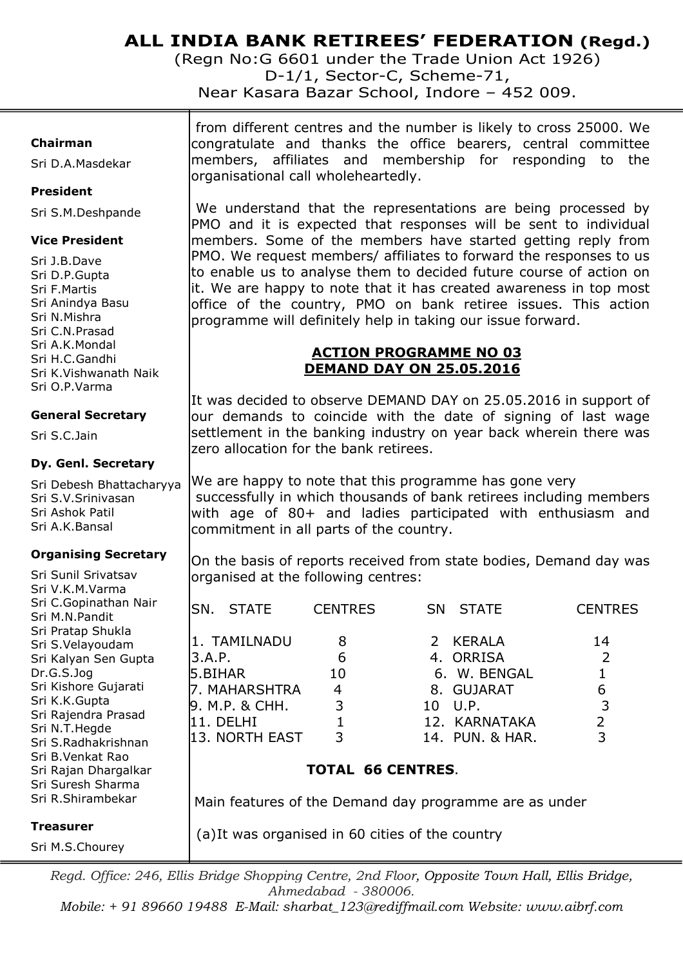(Regn No:G 6601 under the Trade Union Act 1926) D-1/1, Sector-C, Scheme-71,

Near Kasara Bazar School, Indore – 452 009.

#### **Chairman**

Sri D.A.Masdekar

#### **President**

Sri S.M.Deshpande

#### **Vice President**

Sri J.B.Dave Sri D.P.Gupta Sri F.Martis Sri Anindya Basu Sri N.Mishra Sri C.N.Prasad Sri A.K.Mondal Sri H.C.Gandhi Sri K.Vishwanath Naik Sri O.P.Varma

#### **General Secretary**

Sri S.C.Jain

#### **Dy. Genl. Secretary**

Sri Debesh Bhattacharyya Sri S.V.Srinivasan Sri Ashok Patil Sri A.K.Bansal

#### **Organising Secretary**

Sri Sunil Srivatsav Sri V.K.M.Varma Sri C.Gopinathan Nair Sri M.N.Pandit Sri Pratap Shukla Sri S.Velayoudam Sri Kalyan Sen Gupta Dr.G.S.Jog Sri Kishore Gujarati Sri K.K.Gupta Sri Rajendra Prasad Sri N.T.Hegde Sri S.Radhakrishnan Sri B.Venkat Rao Sri Rajan Dhargalkar Sri Suresh Sharma Sri R.Shirambekar

**Treasurer** 

Sri M.S.Chourey

 from different centres and the number is likely to cross 25000. We congratulate and thanks the office bearers, central committee members, affiliates and membership for responding to the organisational call wholeheartedly.

We understand that the representations are being processed by PMO and it is expected that responses will be sent to individual members. Some of the members have started getting reply from PMO. We request members/ affiliates to forward the responses to us to enable us to analyse them to decided future course of action on it. We are happy to note that it has created awareness in top most office of the country, PMO on bank retiree issues. This action programme will definitely help in taking our issue forward.

# **ACTION PROGRAMME NO 03 DEMAND DAY ON 25.05.2016**

It was decided to observe DEMAND DAY on 25.05.2016 in support of our demands to coincide with the date of signing of last wage settlement in the banking industry on year back wherein there was zero allocation for the bank retirees.

We are happy to note that this programme has gone very successfully in which thousands of bank retirees including members with age of 80+ and ladies participated with enthusiasm and commitment in all parts of the country.

On the basis of reports received from state bodies, Demand day was organised at the following centres:

|                   | ISN. STATE                                    | <b>CENTRES</b> | SN STATE                                            | <b>CENTRES</b> |
|-------------------|-----------------------------------------------|----------------|-----------------------------------------------------|----------------|
| 3.A.P.<br>5.BIHAR | 1. TAMILNADU<br>7. MAHARSHTRA                 | 8<br>6<br>10   | 2 KERALA<br>4. ORRISA<br>6. W. BENGAL<br>8. GUJARAT | 14             |
|                   | 9. M.P. & CHH.<br>11. DELHI<br>13. NORTH EAST | 3<br>3         | 10 U.P.<br>12. KARNATAKA<br>14. PUN, & HAR.         |                |

# **TOTAL 66 CENTRES**.

Main features of the Demand day programme are as under

(a)It was organised in 60 cities of the country

*Regd. Office: 246, Ellis Bridge Shopping Centre, 2nd Floor, Opposite Town Hall, Ellis Bridge, Ahmedabad - 380006.*